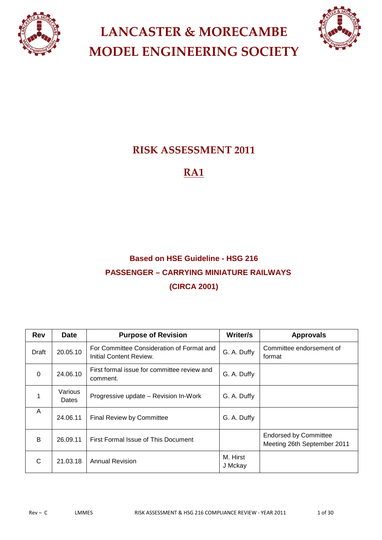



## **RISK ASSESSMENT 2011**

### **RA1**

## **Based on HSE Guideline - HSG 216 PASSENGER – CARRYING MINIATURE RAILWAYS (CIRCA 2001)**

| <b>Rev</b> | <b>Date</b>      | <b>Purpose of Revision</b>                                           | Writer/s            | <b>Approvals</b>                                            |
|------------|------------------|----------------------------------------------------------------------|---------------------|-------------------------------------------------------------|
| Draft      | 20.05.10         | For Committee Consideration of Format and<br>Initial Content Review. | G. A. Duffy         | Committee endorsement of<br>format                          |
| $\Omega$   | 24.06.10         | First formal issue for committee review and<br>comment.              | G. A. Duffy         |                                                             |
|            | Various<br>Dates | Progressive update - Revision In-Work                                | G. A. Duffy         |                                                             |
| A          | 24.06.11         | <b>Final Review by Committee</b>                                     | G. A. Duffy         |                                                             |
| B          | 26.09.11         | First Formal Issue of This Document                                  |                     | <b>Endorsed by Committee</b><br>Meeting 26th September 2011 |
| C          | 21.03.18         | <b>Annual Revision</b>                                               | M. Hirst<br>J Mckay |                                                             |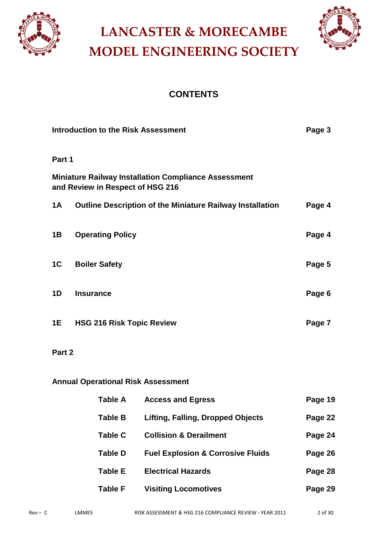



### **CONTENTS**

| <b>Introduction to the Risk Assessment</b><br>Page 3 |                                                                                                 |        |
|------------------------------------------------------|-------------------------------------------------------------------------------------------------|--------|
| Part 1                                               |                                                                                                 |        |
|                                                      | <b>Miniature Railway Installation Compliance Assessment</b><br>and Review in Respect of HSG 216 |        |
| 1A                                                   | <b>Outline Description of the Miniature Railway Installation</b>                                | Page 4 |
| 1B                                                   | <b>Operating Policy</b>                                                                         | Page 4 |
| 1 <sup>C</sup>                                       | <b>Boiler Safety</b>                                                                            | Page 5 |
| 1 <sub>D</sub>                                       | <b>Insurance</b>                                                                                | Page 6 |
| <b>1E</b>                                            | <b>HSG 216 Risk Topic Review</b>                                                                | Page 7 |
| Part 2                                               |                                                                                                 |        |

### **Annual Operational Risk Assessment**

| Table A        | <b>Access and Egress</b>                     | Page 19 |
|----------------|----------------------------------------------|---------|
| Table B        | Lifting, Falling, Dropped Objects            | Page 22 |
| <b>Table C</b> | <b>Collision &amp; Derailment</b>            | Page 24 |
| Table D        | <b>Fuel Explosion &amp; Corrosive Fluids</b> | Page 26 |
| <b>Table E</b> | <b>Electrical Hazards</b>                    | Page 28 |
| <b>Table F</b> | <b>Visiting Locomotives</b>                  | Page 29 |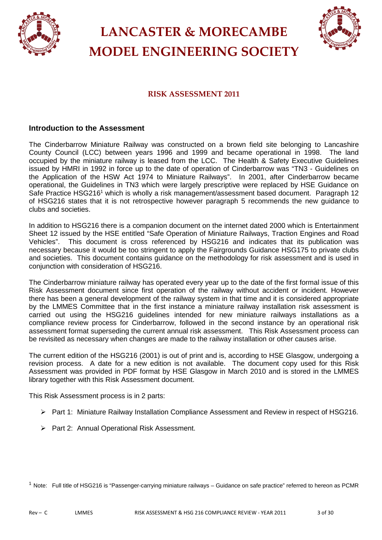



### **RISK ASSESSMENT 2011**

#### **Introduction to the Assessment**

The Cinderbarrow Miniature Railway was constructed on a brown field site belonging to Lancashire County Council (LCC) between years 1996 and 1999 and became operational in 1998. The land occupied by the miniature railway is leased from the LCC. The Health & Safety Executive Guidelines issued by HMRI in 1992 in force up to the date of operation of Cinderbarrow was "TN3 - Guidelines on the Application of the HSW Act 1974 to Miniature Railways". In 2001, after Cinderbarrow became operational, the Guidelines in TN3 which were largely prescriptive were replaced by HSE Guidance on Safe Practice HSG216<sup>1</sup> which is wholly a risk management/assessment based document. Paragraph 12 of HSG216 states that it is not retrospective however paragraph 5 recommends the new guidance to clubs and societies.

In addition to HSG216 there is a companion document on the internet dated 2000 which is Entertainment Sheet 12 issued by the HSE entitled "Safe Operation of Miniature Railways, Traction Engines and Road Vehicles". This document is cross referenced by HSG216 and indicates that its publication was necessary because it would be too stringent to apply the Fairgrounds Guidance HSG175 to private clubs and societies. This document contains guidance on the methodology for risk assessment and is used in conjunction with consideration of HSG216.

The Cinderbarrow miniature railway has operated every year up to the date of the first formal issue of this Risk Assessment document since first operation of the railway without accident or incident. However there has been a general development of the railway system in that time and it is considered appropriate by the LMMES Committee that in the first instance a miniature railway installation risk assessment is carried out using the HSG216 guidelines intended for new miniature railways installations as a compliance review process for Cinderbarrow, followed in the second instance by an operational risk assessment format superseding the current annual risk assessment. This Risk Assessment process can be revisited as necessary when changes are made to the railway installation or other causes arise.

The current edition of the HSG216 (2001) is out of print and is, according to HSE Glasgow, undergoing a revision process. A date for a new edition is not available. The document copy used for this Risk Assessment was provided in PDF format by HSE Glasgow in March 2010 and is stored in the LMMES library together with this Risk Assessment document.

This Risk Assessment process is in 2 parts:

- Part 1: Miniature Railway Installation Compliance Assessment and Review in respect of HSG216.
- ▶ Part 2: Annual Operational Risk Assessment.

 $1$  Note: Full title of HSG216 is "Passenger-carrying miniature railways – Guidance on safe practice" referred to hereon as PCMR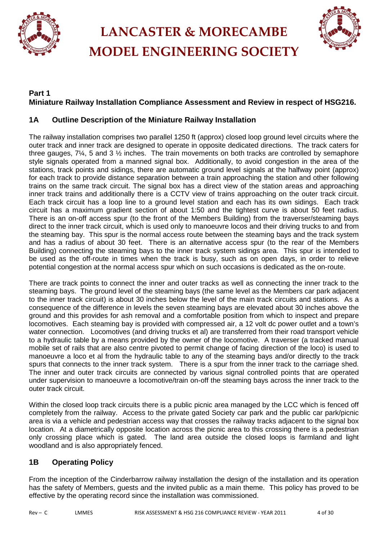



### **Part 1 Miniature Railway Installation Compliance Assessment and Review in respect of HSG216.**

### **1A Outline Description of the Miniature Railway Installation**

The railway installation comprises two parallel 1250 ft (approx) closed loop ground level circuits where the outer track and inner track are designed to operate in opposite dedicated directions. The track caters for three gauges,  $7\frac{1}{4}$ , 5 and 3  $\frac{1}{2}$  inches. The train movements on both tracks are controlled by semaphore style signals operated from a manned signal box. Additionally, to avoid congestion in the area of the stations, track points and sidings, there are automatic ground level signals at the halfway point (approx) for each track to provide distance separation between a train approaching the station and other following trains on the same track circuit. The signal box has a direct view of the station areas and approaching inner track trains and additionally there is a CCTV view of trains approaching on the outer track circuit. Each track circuit has a loop line to a ground level station and each has its own sidings. Each track circuit has a maximum gradient section of about 1:50 and the tightest curve is about 50 feet radius. There is an on-off access spur (to the front of the Members Building) from the traverser/steaming bays direct to the inner track circuit, which is used only to manoeuvre locos and their driving trucks to and from the steaming bay. This spur is the normal access route between the steaming bays and the track system and has a radius of about 30 feet. There is an alternative access spur (to the rear of the Members Building) connecting the steaming bays to the inner track system sidings area. This spur is intended to be used as the off-route in times when the track is busy, such as on open days, in order to relieve potential congestion at the normal access spur which on such occasions is dedicated as the on-route.

There are track points to connect the inner and outer tracks as well as connecting the inner track to the steaming bays. The ground level of the steaming bays (the same level as the Members car park adjacent to the inner track circuit) is about 30 inches below the level of the main track circuits and stations. As a consequence of the difference in levels the seven steaming bays are elevated about 30 inches above the ground and this provides for ash removal and a comfortable position from which to inspect and prepare locomotives. Each steaming bay is provided with compressed air, a 12 volt dc power outlet and a town's water connection. Locomotives (and driving trucks et al) are transferred from their road transport vehicle to a hydraulic table by a means provided by the owner of the locomotive. A traverser (a tracked manual mobile set of rails that are also centre pivoted to permit change of facing direction of the loco) is used to manoeuvre a loco et al from the hydraulic table to any of the steaming bays and/or directly to the track spurs that connects to the inner track system. There is a spur from the inner track to the carriage shed. The inner and outer track circuits are connected by various signal controlled points that are operated under supervision to manoeuvre a locomotive/train on-off the steaming bays across the inner track to the outer track circuit.

Within the closed loop track circuits there is a public picnic area managed by the LCC which is fenced off completely from the railway. Access to the private gated Society car park and the public car park/picnic area is via a vehicle and pedestrian access way that crosses the railway tracks adjacent to the signal box location. At a diametrically opposite location across the picnic area to this crossing there is a pedestrian only crossing place which is gated. The land area outside the closed loops is farmland and light woodland and is also appropriately fenced.

### **1B Operating Policy**

From the inception of the Cinderbarrow railway installation the design of the installation and its operation has the safety of Members, guests and the invited public as a main theme. This policy has proved to be effective by the operating record since the installation was commissioned.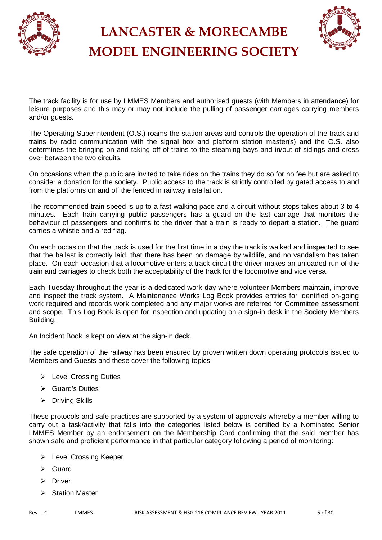



The track facility is for use by LMMES Members and authorised guests (with Members in attendance) for leisure purposes and this may or may not include the pulling of passenger carriages carrying members and/or guests.

The Operating Superintendent (O.S.) roams the station areas and controls the operation of the track and trains by radio communication with the signal box and platform station master(s) and the O.S. also determines the bringing on and taking off of trains to the steaming bays and in/out of sidings and cross over between the two circuits.

On occasions when the public are invited to take rides on the trains they do so for no fee but are asked to consider a donation for the society. Public access to the track is strictly controlled by gated access to and from the platforms on and off the fenced in railway installation.

The recommended train speed is up to a fast walking pace and a circuit without stops takes about 3 to 4 minutes. Each train carrying public passengers has a guard on the last carriage that monitors the behaviour of passengers and confirms to the driver that a train is ready to depart a station. The guard carries a whistle and a red flag.

On each occasion that the track is used for the first time in a day the track is walked and inspected to see that the ballast is correctly laid, that there has been no damage by wildlife, and no vandalism has taken place. On each occasion that a locomotive enters a track circuit the driver makes an unloaded run of the train and carriages to check both the acceptability of the track for the locomotive and vice versa.

Each Tuesday throughout the year is a dedicated work-day where volunteer-Members maintain, improve and inspect the track system. A Maintenance Works Log Book provides entries for identified on-going work required and records work completed and any major works are referred for Committee assessment and scope. This Log Book is open for inspection and updating on a sign-in desk in the Society Members Building.

An Incident Book is kept on view at the sign-in deck.

The safe operation of the railway has been ensured by proven written down operating protocols issued to Members and Guests and these cover the following topics:

- Evel Crossing Duties
- Guard's Duties
- $\triangleright$  Driving Skills

These protocols and safe practices are supported by a system of approvals whereby a member willing to carry out a task/activity that falls into the categories listed below is certified by a Nominated Senior LMMES Member by an endorsement on the Membership Card confirming that the said member has shown safe and proficient performance in that particular category following a period of monitoring:

- Level Crossing Keeper
- $\triangleright$  Guard
- > Driver
- > Station Master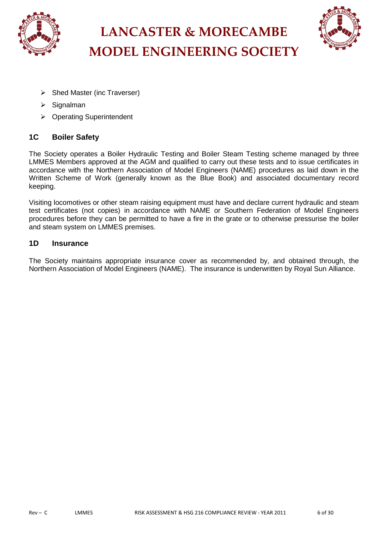



- $\triangleright$  Shed Master (inc Traverser)
- $\triangleright$  Signalman
- ▶ Operating Superintendent

### **1C Boiler Safety**

The Society operates a Boiler Hydraulic Testing and Boiler Steam Testing scheme managed by three LMMES Members approved at the AGM and qualified to carry out these tests and to issue certificates in accordance with the Northern Association of Model Engineers (NAME) procedures as laid down in the Written Scheme of Work (generally known as the Blue Book) and associated documentary record keeping.

Visiting locomotives or other steam raising equipment must have and declare current hydraulic and steam test certificates (not copies) in accordance with NAME or Southern Federation of Model Engineers procedures before they can be permitted to have a fire in the grate or to otherwise pressurise the boiler and steam system on LMMES premises.

### **1D Insurance**

The Society maintains appropriate insurance cover as recommended by, and obtained through, the Northern Association of Model Engineers (NAME). The insurance is underwritten by Royal Sun Alliance.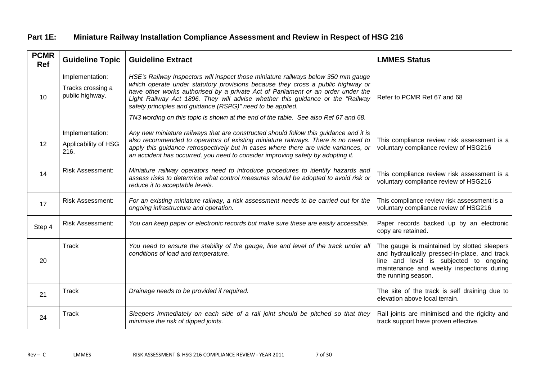### **Part 1E: Miniature Railway Installation Compliance Assessment and Review in Respect of HSG 216**

| <b>PCMR</b><br><b>Ref</b> | <b>Guideline Topic</b>                                  | <b>Guideline Extract</b>                                                                                                                                                                                                                                                                                                                                                                                                                                                                        | <b>LMMES Status</b>                                                                                                                                                                                        |
|---------------------------|---------------------------------------------------------|-------------------------------------------------------------------------------------------------------------------------------------------------------------------------------------------------------------------------------------------------------------------------------------------------------------------------------------------------------------------------------------------------------------------------------------------------------------------------------------------------|------------------------------------------------------------------------------------------------------------------------------------------------------------------------------------------------------------|
| 10                        | Implementation:<br>Tracks crossing a<br>public highway. | HSE's Railway Inspectors will inspect those miniature railways below 350 mm gauge<br>which operate under statutory provisions because they cross a public highway or<br>have other works authorised by a private Act of Parliament or an order under the<br>Light Railway Act 1896. They will advise whether this guidance or the "Railway<br>safety principles and guidance (RSPG)" need to be applied.<br>TN3 wording on this topic is shown at the end of the table. See also Ref 67 and 68. | Refer to PCMR Ref 67 and 68                                                                                                                                                                                |
| 12                        | Implementation:<br>Applicability of HSG<br>216.         | Any new miniature railways that are constructed should follow this guidance and it is<br>also recommended to operators of existing miniature railways. There is no need to<br>apply this guidance retrospectively but in cases where there are wide variances, or<br>an accident has occurred, you need to consider improving safety by adopting it.                                                                                                                                            | This compliance review risk assessment is a<br>voluntary compliance review of HSG216                                                                                                                       |
| 14                        | <b>Risk Assessment:</b>                                 | Miniature railway operators need to introduce procedures to identify hazards and<br>assess risks to determine what control measures should be adopted to avoid risk or<br>reduce it to acceptable levels.                                                                                                                                                                                                                                                                                       | This compliance review risk assessment is a<br>voluntary compliance review of HSG216                                                                                                                       |
| 17                        | <b>Risk Assessment:</b>                                 | For an existing miniature railway, a risk assessment needs to be carried out for the<br>ongoing infrastructure and operation.                                                                                                                                                                                                                                                                                                                                                                   | This compliance review risk assessment is a<br>voluntary compliance review of HSG216                                                                                                                       |
| Step 4                    | <b>Risk Assessment:</b>                                 | You can keep paper or electronic records but make sure these are easily accessible.                                                                                                                                                                                                                                                                                                                                                                                                             | Paper records backed up by an electronic<br>copy are retained.                                                                                                                                             |
| 20                        | Track                                                   | You need to ensure the stability of the gauge, line and level of the track under all<br>conditions of load and temperature.                                                                                                                                                                                                                                                                                                                                                                     | The gauge is maintained by slotted sleepers<br>and hydraulically pressed-in-place, and track<br>line and level is subjected to ongoing<br>maintenance and weekly inspections during<br>the running season. |
| 21                        | Track                                                   | Drainage needs to be provided if required.                                                                                                                                                                                                                                                                                                                                                                                                                                                      | The site of the track is self draining due to<br>elevation above local terrain.                                                                                                                            |
| 24                        | Track                                                   | Sleepers immediately on each side of a rail joint should be pitched so that they<br>minimise the risk of dipped joints.                                                                                                                                                                                                                                                                                                                                                                         | Rail joints are minimised and the rigidity and<br>track support have proven effective.                                                                                                                     |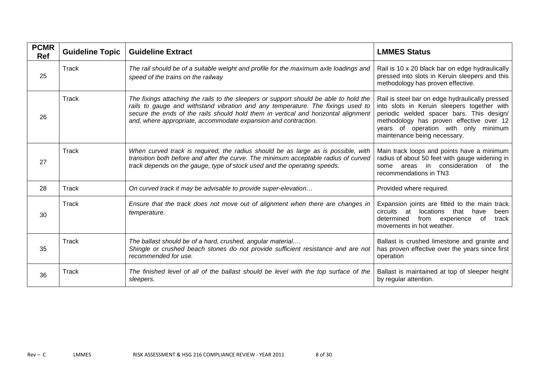| <b>PCMR</b><br><b>Ref</b> | <b>Guideline Topic</b> | <b>Guideline Extract</b>                                                                                                                                                                                                                                                                                                         | <b>LMMES Status</b>                                                                                                                                                                                                                                             |
|---------------------------|------------------------|----------------------------------------------------------------------------------------------------------------------------------------------------------------------------------------------------------------------------------------------------------------------------------------------------------------------------------|-----------------------------------------------------------------------------------------------------------------------------------------------------------------------------------------------------------------------------------------------------------------|
| 25                        | Track                  | The rail should be of a suitable weight and profile for the maximum axle loadings and<br>speed of the trains on the railway                                                                                                                                                                                                      | Rail is 10 x 20 black bar on edge hydraulically<br>pressed into slots in Keruin sleepers and this<br>methodology has proven effective.                                                                                                                          |
| 26                        | Track                  | The fixings attaching the rails to the sleepers or support should be able to hold the<br>rails to gauge and withstand vibration and any temperature. The fixings used to<br>secure the ends of the rails should hold them in vertical and horizontal alignment<br>and, where appropriate, accommodate expansion and contraction. | Rail is steel bar on edge hydraulically pressed<br>into slots in Keruin sleepers together with<br>periodic welded spacer bars. This design/<br>methodology has proven effective over 12<br>years of operation with only minimum<br>maintenance being necessary. |
| 27                        | Track                  | When curved track is required, the radius should be as large as is possible, with<br>transition both before and after the curve. The minimum acceptable radius of curved<br>track depends on the gauge, type of stock used and the operating speeds.                                                                             | Main track loops and points have a minimum<br>radius of about 50 feet with gauge widening in<br>in<br>consideration<br>of the<br>areas<br>some<br>recommendations in TN3                                                                                        |
| 28                        | Track                  | On curved track it may be advisable to provide super-elevation                                                                                                                                                                                                                                                                   | Provided where required.                                                                                                                                                                                                                                        |
| 30                        | Track                  | Ensure that the track does not move out of alignment when there are changes in<br>temperature.                                                                                                                                                                                                                                   | Expansion joints are fitted to the main track<br>that<br>circuits<br>locations<br>at<br>have<br>been<br>determined<br>experience<br>from<br>track<br>of<br>movements in hot weather.                                                                            |
| 35                        | Track                  | The ballast should be of a hard, crushed, angular material<br>Shingle or crushed beach stones do not provide sufficient resistance and are not<br>recommended for use.                                                                                                                                                           | Ballast is crushed limestone and granite and<br>has proven effective over the years since first<br>operation                                                                                                                                                    |
| 36                        | Track                  | The finished level of all of the ballast should be level with the top surface of the<br>sleepers.                                                                                                                                                                                                                                | Ballast is maintained at top of sleeper height<br>by regular attention.                                                                                                                                                                                         |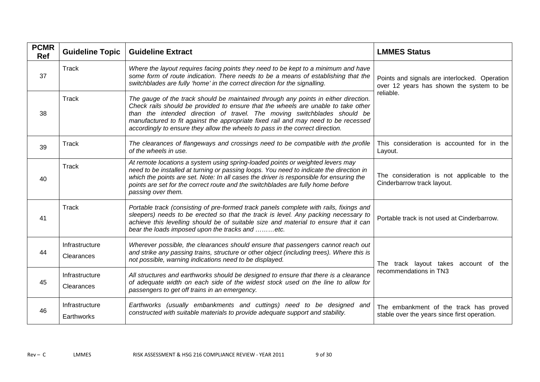| <b>PCMR</b><br><b>Ref</b> | <b>Guideline Topic</b>       | <b>Guideline Extract</b>                                                                                                                                                                                                                                                                                                                                                                                                    | <b>LMMES Status</b>                                                                       |
|---------------------------|------------------------------|-----------------------------------------------------------------------------------------------------------------------------------------------------------------------------------------------------------------------------------------------------------------------------------------------------------------------------------------------------------------------------------------------------------------------------|-------------------------------------------------------------------------------------------|
| 37                        | Track                        | Where the layout requires facing points they need to be kept to a minimum and have<br>some form of route indication. There needs to be a means of establishing that the<br>switchblades are fully 'home' in the correct direction for the signalling.                                                                                                                                                                       | Points and signals are interlocked. Operation<br>over 12 years has shown the system to be |
| 38                        | <b>Track</b>                 | The gauge of the track should be maintained through any points in either direction.<br>Check rails should be provided to ensure that the wheels are unable to take other<br>than the intended direction of travel. The moving switchblades should be<br>manufactured to fit against the appropriate fixed rail and may need to be recessed<br>accordingly to ensure they allow the wheels to pass in the correct direction. | reliable.                                                                                 |
| 39                        | Track                        | The clearances of flangeways and crossings need to be compatible with the profile<br>of the wheels in use.                                                                                                                                                                                                                                                                                                                  | This consideration is accounted for in the<br>Layout.                                     |
| 40                        | Track                        | At remote locations a system using spring-loaded points or weighted levers may<br>need to be installed at turning or passing loops. You need to indicate the direction in<br>which the points are set. Note: In all cases the driver is responsible for ensuring the<br>points are set for the correct route and the switchblades are fully home before<br>passing over them.                                               | The consideration is not applicable to the<br>Cinderbarrow track layout.                  |
| 41                        | Track                        | Portable track (consisting of pre-formed track panels complete with rails, fixings and<br>sleepers) needs to be erected so that the track is level. Any packing necessary to<br>achieve this levelling should be of suitable size and material to ensure that it can<br>bear the loads imposed upon the tracks and etc.                                                                                                     | Portable track is not used at Cinderbarrow.                                               |
| 44                        | Infrastructure<br>Clearances | Wherever possible, the clearances should ensure that passengers cannot reach out<br>and strike any passing trains, structure or other object (including trees). Where this is<br>not possible, warning indications need to be displayed.                                                                                                                                                                                    | The track layout takes account of the                                                     |
| 45                        | Infrastructure<br>Clearances | All structures and earthworks should be designed to ensure that there is a clearance<br>of adequate width on each side of the widest stock used on the line to allow for<br>passengers to get off trains in an emergency.                                                                                                                                                                                                   | recommendations in TN3                                                                    |
| 46                        | Infrastructure<br>Earthworks | Earthworks (usually embankments and cuttings) need to be designed and<br>constructed with suitable materials to provide adequate support and stability.                                                                                                                                                                                                                                                                     | The embankment of the track has proved<br>stable over the years since first operation.    |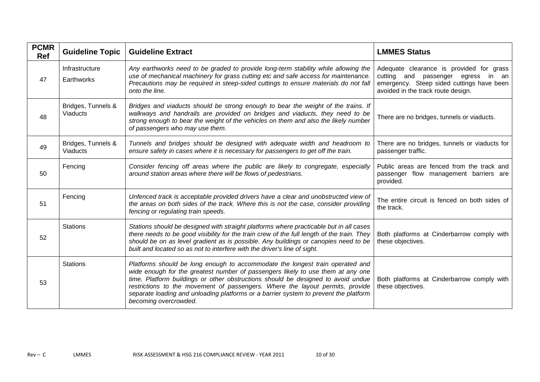| <b>PCMR</b><br>Ref | <b>Guideline Topic</b>                | <b>Guideline Extract</b>                                                                                                                                                                                                                                                                                                                                                                                                                               | <b>LMMES Status</b>                                                                                                                                               |
|--------------------|---------------------------------------|--------------------------------------------------------------------------------------------------------------------------------------------------------------------------------------------------------------------------------------------------------------------------------------------------------------------------------------------------------------------------------------------------------------------------------------------------------|-------------------------------------------------------------------------------------------------------------------------------------------------------------------|
| 47                 | Infrastructure<br>Earthworks          | Any earthworks need to be graded to provide long-term stability while allowing the<br>use of mechanical machinery for grass cutting etc and safe access for maintenance.<br>Precautions may be required in steep-sided cuttings to ensure materials do not fall<br>onto the line.                                                                                                                                                                      | Adequate clearance is provided for grass<br>cutting and passenger egress in an<br>emergency. Steep sided cuttings have been<br>avoided in the track route design. |
| 48                 | Bridges, Tunnels &<br><b>Viaducts</b> | Bridges and viaducts should be strong enough to bear the weight of the trains. If<br>walkways and handrails are provided on bridges and viaducts, they need to be<br>strong enough to bear the weight of the vehicles on them and also the likely number<br>of passengers who may use them.                                                                                                                                                            | There are no bridges, tunnels or viaducts.                                                                                                                        |
| 49                 | Bridges, Tunnels &<br><b>Viaducts</b> | Tunnels and bridges should be designed with adequate width and headroom to<br>ensure safety in cases where it is necessary for passengers to get off the train.                                                                                                                                                                                                                                                                                        | There are no bridges, tunnels or viaducts for<br>passenger traffic.                                                                                               |
| 50                 | Fencing                               | Consider fencing off areas where the public are likely to congregate, especially<br>around station areas where there will be flows of pedestrians.                                                                                                                                                                                                                                                                                                     | Public areas are fenced from the track and<br>passenger flow management barriers are<br>provided.                                                                 |
| 51                 | Fencing                               | Unfenced track is acceptable provided drivers have a clear and unobstructed view of<br>the areas on both sides of the track. Where this is not the case, consider providing<br>fencing or regulating train speeds.                                                                                                                                                                                                                                     | The entire circuit is fenced on both sides of<br>the track.                                                                                                       |
| 52                 | <b>Stations</b>                       | Stations should be designed with straight platforms where practicable but in all cases<br>there needs to be good visibility for the train crew of the full length of the train. They<br>should be on as level gradient as is possible. Any buildings or canopies need to be<br>built and located so as not to interfere with the driver's line of sight.                                                                                               | Both platforms at Cinderbarrow comply with<br>these objectives.                                                                                                   |
| 53                 | <b>Stations</b>                       | Platforms should be long enough to accommodate the longest train operated and<br>wide enough for the greatest number of passengers likely to use them at any one<br>time. Platform buildings or other obstructions should be designed to avoid undue<br>restrictions to the movement of passengers. Where the layout permits, provide<br>separate loading and unloading platforms or a barrier system to prevent the platform<br>becoming overcrowded. | Both platforms at Cinderbarrow comply with<br>these objectives.                                                                                                   |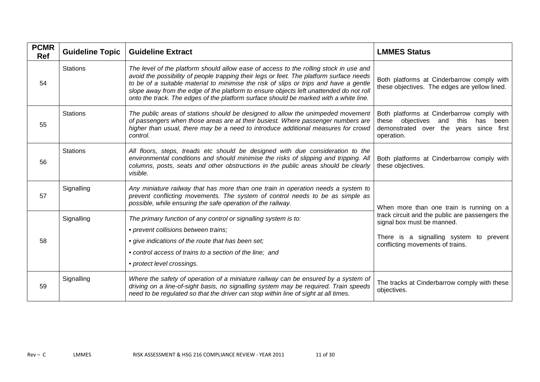| <b>PCMR</b><br><b>Ref</b> | <b>Guideline Topic</b> | <b>Guideline Extract</b>                                                                                                                                                                                                                                                                                                                                                                                                                                     | <b>LMMES Status</b>                                                                                                                                          |
|---------------------------|------------------------|--------------------------------------------------------------------------------------------------------------------------------------------------------------------------------------------------------------------------------------------------------------------------------------------------------------------------------------------------------------------------------------------------------------------------------------------------------------|--------------------------------------------------------------------------------------------------------------------------------------------------------------|
| 54                        | <b>Stations</b>        | The level of the platform should allow ease of access to the rolling stock in use and<br>avoid the possibility of people trapping their legs or feet. The platform surface needs<br>to be of a suitable material to minimise the risk of slips or trips and have a gentle<br>slope away from the edge of the platform to ensure objects left unattended do not roll<br>onto the track. The edges of the platform surface should be marked with a white line. | Both platforms at Cinderbarrow comply with<br>these objectives. The edges are yellow lined.                                                                  |
| 55                        | <b>Stations</b>        | The public areas of stations should be designed to allow the unimpeded movement<br>of passengers when those areas are at their busiest. Where passenger numbers are<br>higher than usual, there may be a need to introduce additional measures for crowd<br>control.                                                                                                                                                                                         | Both platforms at Cinderbarrow comply with<br>these objectives<br>and<br>this<br>been<br>has<br>demonstrated over the years since first<br>operation.        |
| 56                        | <b>Stations</b>        | All floors, steps, treads etc should be designed with due consideration to the<br>environmental conditions and should minimise the risks of slipping and tripping. All<br>columns, posts, seats and other obstructions in the public areas should be clearly<br>visible.                                                                                                                                                                                     | Both platforms at Cinderbarrow comply with<br>these objectives.                                                                                              |
| 57                        | Signalling             | Any miniature railway that has more than one train in operation needs a system to<br>prevent conflicting movements. The system of control needs to be as simple as<br>possible, while ensuring the safe operation of the railway.                                                                                                                                                                                                                            | When more than one train is running on a                                                                                                                     |
| 58                        | Signalling             | The primary function of any control or signalling system is to:<br>• prevent collisions between trains;<br>• give indications of the route that has been set;<br>• control access of trains to a section of the line; and<br>• protect level crossings.                                                                                                                                                                                                      | track circuit and the public are passengers the<br>signal box must be manned.<br>There is a signalling system to prevent<br>conflicting movements of trains. |
| 59                        | Signalling             | Where the safety of operation of a miniature railway can be ensured by a system of<br>driving on a line-of-sight basis, no signalling system may be required. Train speeds<br>need to be regulated so that the driver can stop within line of sight at all times.                                                                                                                                                                                            | The tracks at Cinderbarrow comply with these<br>objectives.                                                                                                  |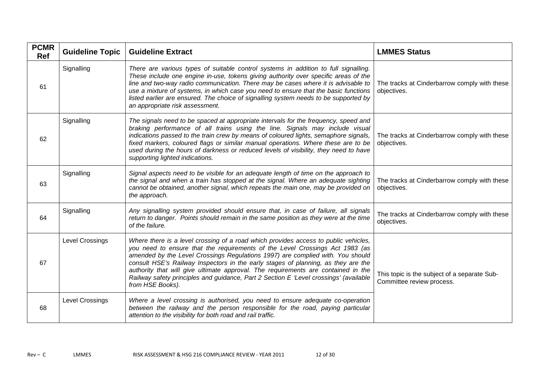| <b>PCMR</b><br><b>Ref</b> | <b>Guideline Topic</b> | <b>Guideline Extract</b>                                                                                                                                                                                                                                                                                                                                                                                                                                                                                                                     | <b>LMMES Status</b>                                                       |
|---------------------------|------------------------|----------------------------------------------------------------------------------------------------------------------------------------------------------------------------------------------------------------------------------------------------------------------------------------------------------------------------------------------------------------------------------------------------------------------------------------------------------------------------------------------------------------------------------------------|---------------------------------------------------------------------------|
| 61                        | Signalling             | There are various types of suitable control systems in addition to full signalling.<br>These include one engine in-use, tokens giving authority over specific areas of the<br>line and two-way radio communication. There may be cases where it is advisable to<br>use a mixture of systems, in which case you need to ensure that the basic functions<br>listed earlier are ensured. The choice of signalling system needs to be supported by<br>an appropriate risk assessment.                                                            | The tracks at Cinderbarrow comply with these<br>objectives.               |
| 62                        | Signalling             | The signals need to be spaced at appropriate intervals for the frequency, speed and<br>braking performance of all trains using the line. Signals may include visual<br>indications passed to the train crew by means of coloured lights, semaphore signals,<br>fixed markers, coloured flags or similar manual operations. Where these are to be<br>used during the hours of darkness or reduced levels of visibility, they need to have<br>supporting lighted indications.                                                                  | The tracks at Cinderbarrow comply with these<br>objectives.               |
| 63                        | Signalling             | Signal aspects need to be visible for an adequate length of time on the approach to<br>the signal and when a train has stopped at the signal. Where an adequate sighting<br>cannot be obtained, another signal, which repeats the main one, may be provided on<br>the approach.                                                                                                                                                                                                                                                              | The tracks at Cinderbarrow comply with these<br>objectives.               |
| 64                        | Signalling             | Any signalling system provided should ensure that, in case of failure, all signals<br>return to danger. Points should remain in the same position as they were at the time<br>of the failure.                                                                                                                                                                                                                                                                                                                                                | The tracks at Cinderbarrow comply with these<br>objectives.               |
| 67                        | <b>Level Crossings</b> | Where there is a level crossing of a road which provides access to public vehicles,<br>you need to ensure that the requirements of the Level Crossings Act 1983 (as<br>amended by the Level Crossings Regulations 1997) are complied with. You should<br>consult HSE's Railway Inspectors in the early stages of planning, as they are the<br>authority that will give ultimate approval. The requirements are contained in the<br>Railway safety principles and guidance, Part 2 Section E 'Level crossings' (available<br>from HSE Books). | This topic is the subject of a separate Sub-<br>Committee review process. |
| 68                        | <b>Level Crossings</b> | Where a level crossing is authorised, you need to ensure adequate co-operation<br>between the railway and the person responsible for the road, paying particular<br>attention to the visibility for both road and rail traffic.                                                                                                                                                                                                                                                                                                              |                                                                           |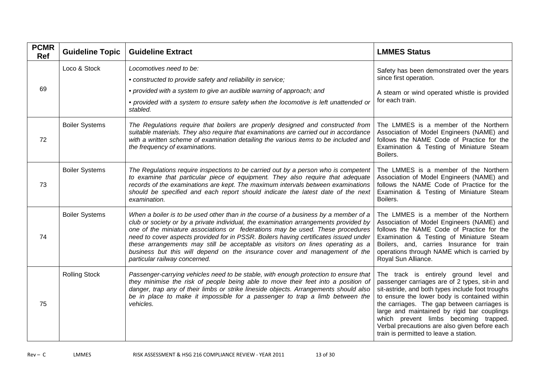| <b>PCMR</b><br><b>Ref</b> | <b>Guideline Topic</b> | <b>Guideline Extract</b>                                                                                                                                                                                                                                                                                                                                                                                                                                                                                                                               | <b>LMMES Status</b>                                                                                                                                                                                                                                                                                                                                                                                                            |
|---------------------------|------------------------|--------------------------------------------------------------------------------------------------------------------------------------------------------------------------------------------------------------------------------------------------------------------------------------------------------------------------------------------------------------------------------------------------------------------------------------------------------------------------------------------------------------------------------------------------------|--------------------------------------------------------------------------------------------------------------------------------------------------------------------------------------------------------------------------------------------------------------------------------------------------------------------------------------------------------------------------------------------------------------------------------|
| 69                        | Loco & Stock           | Locomotives need to be:<br>• constructed to provide safety and reliability in service;<br>• provided with a system to give an audible warning of approach; and<br>• provided with a system to ensure safety when the locomotive is left unattended or<br>stabled.                                                                                                                                                                                                                                                                                      | Safety has been demonstrated over the years<br>since first operation.<br>A steam or wind operated whistle is provided<br>for each train.                                                                                                                                                                                                                                                                                       |
| 72                        | <b>Boiler Systems</b>  | The Regulations require that boilers are properly designed and constructed from<br>suitable materials. They also require that examinations are carried out in accordance<br>with a written scheme of examination detailing the various items to be included and<br>the frequency of examinations.                                                                                                                                                                                                                                                      | The LMMES is a member of the Northern<br>Association of Model Engineers (NAME) and<br>follows the NAME Code of Practice for the<br>Examination & Testing of Miniature Steam<br>Boilers.                                                                                                                                                                                                                                        |
| 73                        | <b>Boiler Systems</b>  | The Regulations require inspections to be carried out by a person who is competent<br>to examine that particular piece of equipment. They also require that adequate<br>records of the examinations are kept. The maximum intervals between examinations<br>should be specified and each report should indicate the latest date of the next<br>examination.                                                                                                                                                                                            | The LMMES is a member of the Northern<br>Association of Model Engineers (NAME) and<br>follows the NAME Code of Practice for the<br>Examination & Testing of Miniature Steam<br>Boilers.                                                                                                                                                                                                                                        |
| 74                        | <b>Boiler Systems</b>  | When a boiler is to be used other than in the course of a business by a member of a<br>club or society or by a private individual, the examination arrangements provided by<br>one of the miniature associations or federations may be used. These procedures<br>need to cover aspects provided for in PSSR. Boilers having certificates issued under<br>these arrangements may still be acceptable as visitors on lines operating as a<br>business but this will depend on the insurance cover and management of the<br>particular railway concerned. | The LMMES is a member of the Northern<br>Association of Model Engineers (NAME) and<br>follows the NAME Code of Practice for the<br>Examination & Testing of Miniature Steam<br>Boilers, and, carries Insurance for train<br>operations through NAME which is carried by<br>Royal Sun Alliance.                                                                                                                                 |
| 75                        | <b>Rolling Stock</b>   | Passenger-carrying vehicles need to be stable, with enough protection to ensure that<br>they minimise the risk of people being able to move their feet into a position of<br>danger, trap any of their limbs or strike lineside objects. Arrangements should also<br>be in place to make it impossible for a passenger to trap a limb between the<br>vehicles.                                                                                                                                                                                         | The track is entirely ground level and<br>passenger carriages are of 2 types, sit-in and<br>sit-astride, and both types include foot troughs<br>to ensure the lower body is contained within<br>the carriages. The gap between carriages is<br>large and maintained by rigid bar couplings<br>which prevent limbs becoming trapped.<br>Verbal precautions are also given before each<br>train is permitted to leave a station. |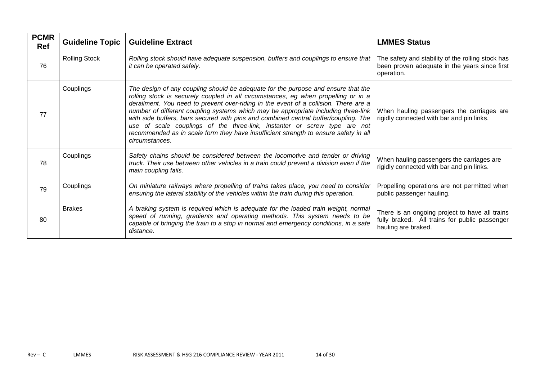| <b>PCMR</b><br><b>Ref</b> | <b>Guideline Topic</b> | <b>Guideline Extract</b>                                                                                                                                                                                                                                                                                                                                                                                                                                                                                                                                                                                                            | <b>LMMES Status</b>                                                                                                    |
|---------------------------|------------------------|-------------------------------------------------------------------------------------------------------------------------------------------------------------------------------------------------------------------------------------------------------------------------------------------------------------------------------------------------------------------------------------------------------------------------------------------------------------------------------------------------------------------------------------------------------------------------------------------------------------------------------------|------------------------------------------------------------------------------------------------------------------------|
| 76                        | <b>Rolling Stock</b>   | Rolling stock should have adequate suspension, buffers and couplings to ensure that<br>it can be operated safely.                                                                                                                                                                                                                                                                                                                                                                                                                                                                                                                   | The safety and stability of the rolling stock has<br>been proven adequate in the years since first<br>operation.       |
| 77                        | Couplings              | The design of any coupling should be adequate for the purpose and ensure that the<br>rolling stock is securely coupled in all circumstances, eg when propelling or in a<br>derailment. You need to prevent over-riding in the event of a collision. There are a<br>number of different coupling systems which may be appropriate including three-link<br>with side buffers, bars secured with pins and combined central buffer/coupling. The<br>use of scale couplings of the three-link, instanter or screw type are not<br>recommended as in scale form they have insufficient strength to ensure safety in all<br>circumstances. | When hauling passengers the carriages are<br>rigidly connected with bar and pin links.                                 |
| 78                        | Couplings              | Safety chains should be considered between the locomotive and tender or driving<br>truck. Their use between other vehicles in a train could prevent a division even if the<br>main coupling fails.                                                                                                                                                                                                                                                                                                                                                                                                                                  | When hauling passengers the carriages are<br>rigidly connected with bar and pin links.                                 |
| 79                        | Couplings              | On miniature railways where propelling of trains takes place, you need to consider<br>ensuring the lateral stability of the vehicles within the train during this operation.                                                                                                                                                                                                                                                                                                                                                                                                                                                        | Propelling operations are not permitted when<br>public passenger hauling.                                              |
| 80                        | <b>Brakes</b>          | A braking system is required which is adequate for the loaded train weight, normal<br>speed of running, gradients and operating methods. This system needs to be<br>capable of bringing the train to a stop in normal and emergency conditions, in a safe<br>distance.                                                                                                                                                                                                                                                                                                                                                              | There is an ongoing project to have all trains<br>fully braked. All trains for public passenger<br>hauling are braked. |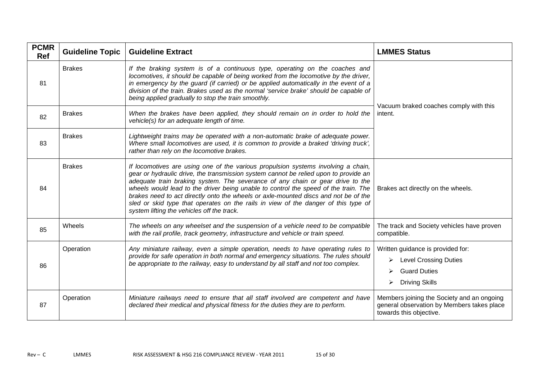| <b>PCMR</b><br><b>Ref</b> | <b>Guideline Topic</b> | <b>Guideline Extract</b>                                                                                                                                                                                                                                                                                                                                                                                                                                                                                                                                                      | <b>LMMES Status</b>                                                                                                              |
|---------------------------|------------------------|-------------------------------------------------------------------------------------------------------------------------------------------------------------------------------------------------------------------------------------------------------------------------------------------------------------------------------------------------------------------------------------------------------------------------------------------------------------------------------------------------------------------------------------------------------------------------------|----------------------------------------------------------------------------------------------------------------------------------|
| 81                        | <b>Brakes</b>          | If the braking system is of a continuous type, operating on the coaches and<br>locomotives, it should be capable of being worked from the locomotive by the driver,<br>in emergency by the guard (if carried) or be applied automatically in the event of a<br>division of the train. Brakes used as the normal 'service brake' should be capable of<br>being applied gradually to stop the train smoothly.                                                                                                                                                                   |                                                                                                                                  |
| 82                        | <b>Brakes</b>          | When the brakes have been applied, they should remain on in order to hold the<br>vehicle(s) for an adequate length of time.                                                                                                                                                                                                                                                                                                                                                                                                                                                   | Vacuum braked coaches comply with this<br>intent.                                                                                |
| 83                        | <b>Brakes</b>          | Lightweight trains may be operated with a non-automatic brake of adequate power.<br>Where small locomotives are used, it is common to provide a braked 'driving truck',<br>rather than rely on the locomotive brakes.                                                                                                                                                                                                                                                                                                                                                         |                                                                                                                                  |
| 84                        | <b>Brakes</b>          | If locomotives are using one of the various propulsion systems involving a chain,<br>gear or hydraulic drive, the transmission system cannot be relied upon to provide an<br>adequate train braking system. The severance of any chain or gear drive to the<br>wheels would lead to the driver being unable to control the speed of the train. The<br>brakes need to act directly onto the wheels or axle-mounted discs and not be of the<br>sled or skid type that operates on the rails in view of the danger of this type of<br>system lifting the vehicles off the track. | Brakes act directly on the wheels.                                                                                               |
| 85                        | Wheels                 | The wheels on any wheelset and the suspension of a vehicle need to be compatible<br>with the rail profile, track geometry, infrastructure and vehicle or train speed.                                                                                                                                                                                                                                                                                                                                                                                                         | The track and Society vehicles have proven<br>compatible.                                                                        |
| 86                        | Operation              | Any miniature railway, even a simple operation, needs to have operating rules to<br>provide for safe operation in both normal and emergency situations. The rules should<br>be appropriate to the railway, easy to understand by all staff and not too complex.                                                                                                                                                                                                                                                                                                               | Written guidance is provided for:<br><b>Level Crossing Duties</b><br>➤<br><b>Guard Duties</b><br>➤<br><b>Driving Skills</b><br>➤ |
| 87                        | Operation              | Miniature railways need to ensure that all staff involved are competent and have<br>declared their medical and physical fitness for the duties they are to perform.                                                                                                                                                                                                                                                                                                                                                                                                           | Members joining the Society and an ongoing<br>general observation by Members takes place<br>towards this objective.              |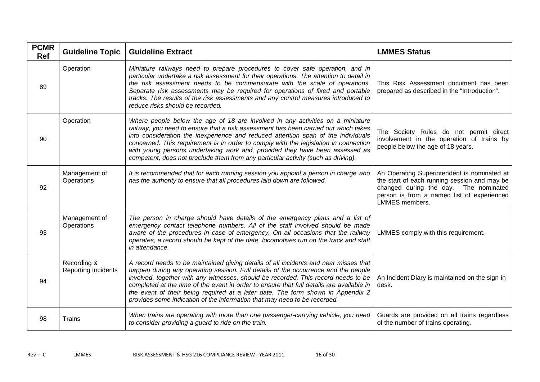| <b>PCMR</b><br><b>Ref</b> | <b>Guideline Topic</b>                    | <b>Guideline Extract</b>                                                                                                                                                                                                                                                                                                                                                                                                                                                                                                     | <b>LMMES Status</b>                                                                                                                                                                                         |
|---------------------------|-------------------------------------------|------------------------------------------------------------------------------------------------------------------------------------------------------------------------------------------------------------------------------------------------------------------------------------------------------------------------------------------------------------------------------------------------------------------------------------------------------------------------------------------------------------------------------|-------------------------------------------------------------------------------------------------------------------------------------------------------------------------------------------------------------|
| 89                        | Operation                                 | Miniature railways need to prepare procedures to cover safe operation, and in<br>particular undertake a risk assessment for their operations. The attention to detail in<br>the risk assessment needs to be commensurate with the scale of operations.<br>Separate risk assessments may be required for operations of fixed and portable<br>tracks. The results of the risk assessments and any control measures introduced to<br>reduce risks should be recorded.                                                           | This Risk Assessment document has been<br>prepared as described in the "Introduction".                                                                                                                      |
| 90                        | Operation                                 | Where people below the age of 18 are involved in any activities on a miniature<br>railway, you need to ensure that a risk assessment has been carried out which takes<br>into consideration the inexperience and reduced attention span of the individuals<br>concerned. This requirement is in order to comply with the legislation in connection<br>with young persons undertaking work and, provided they have been assessed as<br>competent, does not preclude them from any particular activity (such as driving).      | The Society Rules do not permit direct<br>involvement in the operation of trains by<br>people below the age of 18 years.                                                                                    |
| 92                        | Management of<br>Operations               | It is recommended that for each running session you appoint a person in charge who<br>has the authority to ensure that all procedures laid down are followed.                                                                                                                                                                                                                                                                                                                                                                | An Operating Superintendent is nominated at<br>the start of each running session and may be<br>changed during the day. The nominated<br>person is from a named list of experienced<br><b>LMMES</b> members. |
| 93                        | Management of<br>Operations               | The person in charge should have details of the emergency plans and a list of<br>emergency contact telephone numbers. All of the staff involved should be made<br>aware of the procedures in case of emergency. On all occasions that the railway<br>operates, a record should be kept of the date, locomotives run on the track and staff<br>in attendance.                                                                                                                                                                 | LMMES comply with this requirement.                                                                                                                                                                         |
| 94                        | Recording &<br><b>Reporting Incidents</b> | A record needs to be maintained giving details of all incidents and near misses that<br>happen during any operating session. Full details of the occurrence and the people<br>involved, together with any witnesses, should be recorded. This record needs to be<br>completed at the time of the event in order to ensure that full details are available in<br>the event of their being required at a later date. The form shown in Appendix 2<br>provides some indication of the information that may need to be recorded. | An Incident Diary is maintained on the sign-in<br>desk.                                                                                                                                                     |
| 98                        | Trains                                    | When trains are operating with more than one passenger-carrying vehicle, you need<br>to consider providing a guard to ride on the train.                                                                                                                                                                                                                                                                                                                                                                                     | Guards are provided on all trains regardless<br>of the number of trains operating.                                                                                                                          |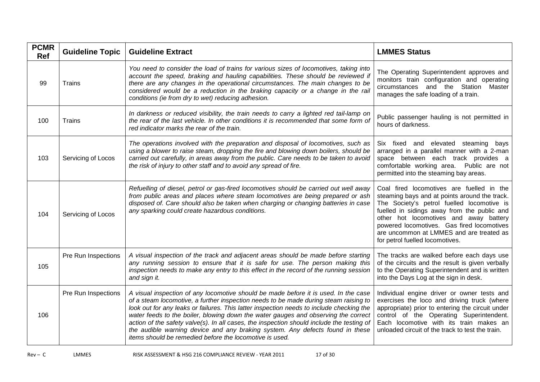| <b>PCMR</b><br><b>Ref</b> | <b>Guideline Topic</b> | <b>Guideline Extract</b>                                                                                                                                                                                                                                                                                                                                                                                                                                                                                                                                                                               | <b>LMMES Status</b>                                                                                                                                                                                                                                                                                                                                            |
|---------------------------|------------------------|--------------------------------------------------------------------------------------------------------------------------------------------------------------------------------------------------------------------------------------------------------------------------------------------------------------------------------------------------------------------------------------------------------------------------------------------------------------------------------------------------------------------------------------------------------------------------------------------------------|----------------------------------------------------------------------------------------------------------------------------------------------------------------------------------------------------------------------------------------------------------------------------------------------------------------------------------------------------------------|
| 99                        | Trains                 | You need to consider the load of trains for various sizes of locomotives, taking into<br>account the speed, braking and hauling capabilities. These should be reviewed if<br>there are any changes in the operational circumstances. The main changes to be<br>considered would be a reduction in the braking capacity or a change in the rail<br>conditions (ie from dry to wet) reducing adhesion.                                                                                                                                                                                                   | The Operating Superintendent approves and<br>monitors train configuration and operating<br>circumstances and the Station Master<br>manages the safe loading of a train.                                                                                                                                                                                        |
| 100                       | Trains                 | In darkness or reduced visibility, the train needs to carry a lighted red tail-lamp on<br>the rear of the last vehicle. In other conditions it is recommended that some form of<br>red indicator marks the rear of the train.                                                                                                                                                                                                                                                                                                                                                                          | Public passenger hauling is not permitted in<br>hours of darkness.                                                                                                                                                                                                                                                                                             |
| 103                       | Servicing of Locos     | The operations involved with the preparation and disposal of locomotives, such as<br>using a blower to raise steam, dropping the fire and blowing down boilers, should be<br>carried out carefully, in areas away from the public. Care needs to be taken to avoid<br>the risk of injury to other staff and to avoid any spread of fire.                                                                                                                                                                                                                                                               | Six fixed and elevated steaming<br>bays<br>arranged in a parallel manner with a 2-man<br>space between each track provides a<br>comfortable working area. Public are not<br>permitted into the steaming bay areas.                                                                                                                                             |
| 104                       | Servicing of Locos     | Refuelling of diesel, petrol or gas-fired locomotives should be carried out well away<br>from public areas and places where steam locomotives are being prepared or ash<br>disposed of. Care should also be taken when charging or changing batteries in case<br>any sparking could create hazardous conditions.                                                                                                                                                                                                                                                                                       | Coal fired locomotives are fuelled in the<br>steaming bays and at points around the track.<br>The Society's petrol fuelled locomotive is<br>fuelled in sidings away from the public and<br>other hot locomotives and away battery<br>powered locomotives. Gas fired locomotives<br>are uncommon at LMMES and are treated as<br>for petrol fuelled locomotives. |
| 105                       | Pre Run Inspections    | A visual inspection of the track and adjacent areas should be made before starting<br>any running session to ensure that it is safe for use. The person making this<br>inspection needs to make any entry to this effect in the record of the running session<br>and sign it.                                                                                                                                                                                                                                                                                                                          | The tracks are walked before each days use<br>of the circuits and the result is given verbally<br>to the Operating Superintendent and is written<br>into the Days Log at the sign in desk.                                                                                                                                                                     |
| 106                       | Pre Run Inspections    | A visual inspection of any locomotive should be made before it is used. In the case<br>of a steam locomotive, a further inspection needs to be made during steam raising to<br>look out for any leaks or failures. This latter inspection needs to include checking the<br>water feeds to the boiler, blowing down the water gauges and observing the correct<br>action of the safety valve(s). In all cases, the inspection should include the testing of<br>the audible warning device and any braking system. Any defects found in these<br>items should be remedied before the locomotive is used. | Individual engine driver or owner tests and<br>exercises the loco and driving truck (where<br>appropriate) prior to entering the circuit under<br>control of the Operating Superintendent.<br>Each locomotive with its train makes an<br>unloaded circuit of the track to test the train.                                                                      |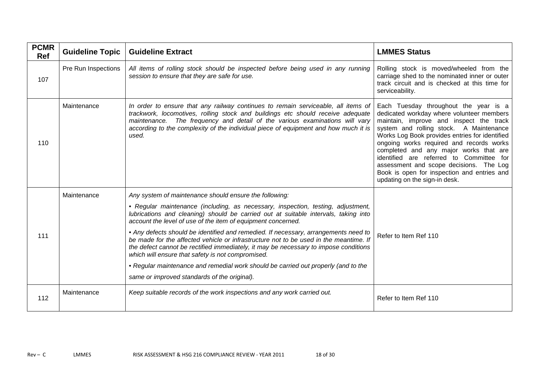| <b>PCMR</b><br><b>Ref</b> | <b>Guideline Topic</b> | <b>Guideline Extract</b>                                                                                                                                                                                                                                                                                                                                                                                                                                                                                                                                                                                                                                                                                                                                             | <b>LMMES Status</b>                                                                                                                                                                                                                                                                                                                                                                                                                                                                     |
|---------------------------|------------------------|----------------------------------------------------------------------------------------------------------------------------------------------------------------------------------------------------------------------------------------------------------------------------------------------------------------------------------------------------------------------------------------------------------------------------------------------------------------------------------------------------------------------------------------------------------------------------------------------------------------------------------------------------------------------------------------------------------------------------------------------------------------------|-----------------------------------------------------------------------------------------------------------------------------------------------------------------------------------------------------------------------------------------------------------------------------------------------------------------------------------------------------------------------------------------------------------------------------------------------------------------------------------------|
| 107                       | Pre Run Inspections    | All items of rolling stock should be inspected before being used in any running<br>session to ensure that they are safe for use.                                                                                                                                                                                                                                                                                                                                                                                                                                                                                                                                                                                                                                     | Rolling stock is moved/wheeled from the<br>carriage shed to the nominated inner or outer<br>track circuit and is checked at this time for<br>serviceability.                                                                                                                                                                                                                                                                                                                            |
| 110                       | Maintenance            | In order to ensure that any railway continues to remain serviceable, all items of<br>trackwork, locomotives, rolling stock and buildings etc should receive adequate<br>maintenance. The frequency and detail of the various examinations will vary<br>according to the complexity of the individual piece of equipment and how much it is<br>used.                                                                                                                                                                                                                                                                                                                                                                                                                  | Each Tuesday throughout the year is a<br>dedicated workday where volunteer members<br>maintain, improve and inspect the track<br>system and rolling stock. A Maintenance<br>Works Log Book provides entries for identified<br>ongoing works required and records works<br>completed and any major works that are<br>identified are referred to Committee for<br>assessment and scope decisions. The Log<br>Book is open for inspection and entries and<br>updating on the sign-in desk. |
| 111                       | Maintenance            | Any system of maintenance should ensure the following:<br>• Regular maintenance (including, as necessary, inspection, testing, adjustment,<br>lubrications and cleaning) should be carried out at suitable intervals, taking into<br>account the level of use of the item of equipment concerned.<br>• Any defects should be identified and remedied. If necessary, arrangements need to<br>be made for the affected vehicle or infrastructure not to be used in the meantime. If<br>the defect cannot be rectified immediately, it may be necessary to impose conditions<br>which will ensure that safety is not compromised.<br>• Regular maintenance and remedial work should be carried out properly (and to the<br>same or improved standards of the original). | Refer to Item Ref 110                                                                                                                                                                                                                                                                                                                                                                                                                                                                   |
| 112                       | Maintenance            | Keep suitable records of the work inspections and any work carried out.                                                                                                                                                                                                                                                                                                                                                                                                                                                                                                                                                                                                                                                                                              | Refer to Item Ref 110                                                                                                                                                                                                                                                                                                                                                                                                                                                                   |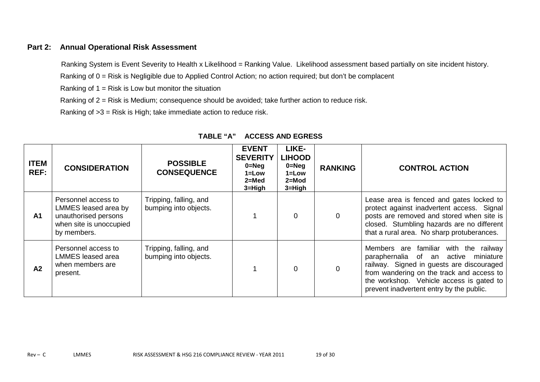### **Part 2: Annual Operational Risk Assessment**

Ranking System is Event Severity to Health x Likelihood = Ranking Value. Likelihood assessment based partially on site incident history.

Ranking of 0 = Risk is Negligible due to Applied Control Action; no action required; but don't be complacent

Ranking of  $1 =$  Risk is Low but monitor the situation

Ranking of 2 = Risk is Medium; consequence should be avoided; take further action to reduce risk.

Ranking of >3 = Risk is High; take immediate action to reduce risk.

| <b>ITEM</b><br>REF: | <b>CONSIDERATION</b>                                                                                          | <b>POSSIBLE</b><br><b>CONSEQUENCE</b>           | <b>EVENT</b><br><b>SEVERITY</b><br>$0 = Neg$<br>$1 = Low$<br>$2 = Med$<br>$3 = High$ | LIKE-<br><b>LIHOOD</b><br>$0 = Neg$<br>$1 = Low$<br>$2 = Mod$<br>$3 = High$ | <b>RANKING</b> | <b>CONTROL ACTION</b>                                                                                                                                                                                                                                                       |
|---------------------|---------------------------------------------------------------------------------------------------------------|-------------------------------------------------|--------------------------------------------------------------------------------------|-----------------------------------------------------------------------------|----------------|-----------------------------------------------------------------------------------------------------------------------------------------------------------------------------------------------------------------------------------------------------------------------------|
| A <sub>1</sub>      | Personnel access to<br>LMMES leased area by<br>unauthorised persons<br>when site is unoccupied<br>by members. | Tripping, falling, and<br>bumping into objects. |                                                                                      | 0                                                                           | $\overline{0}$ | Lease area is fenced and gates locked to<br>protect against inadvertent access. Signal<br>posts are removed and stored when site is<br>closed. Stumbling hazards are no different<br>that a rural area. No sharp protuberances.                                             |
| A2                  | Personnel access to<br><b>LMMES</b> leased area<br>when members are<br>present.                               | Tripping, falling, and<br>bumping into objects. |                                                                                      | $\overline{0}$                                                              | $\mathbf 0$    | Members are familiar with the<br>railway<br>active<br>paraphernalia of<br>miniature<br>an<br>railway. Signed in guests are discouraged<br>from wandering on the track and access to<br>the workshop. Vehicle access is gated to<br>prevent inadvertent entry by the public. |

### **TABLE "A" ACCESS AND EGRESS**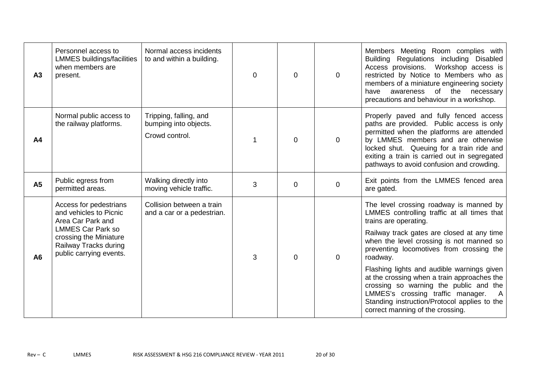| A3             | Personnel access to<br><b>LMMES buildings/facilities</b><br>when members are<br>present.                                                                                        | Normal access incidents<br>to and within a building.              | $\mathbf{0}$ | $\Omega$ | $\mathbf 0$ | Members Meeting Room complies with<br>Regulations including Disabled<br><b>Building</b><br>Access provisions. Workshop access is<br>restricted by Notice to Members who as<br>members of a miniature engineering society<br>awareness of the necessary<br>have<br>precautions and behaviour in a workshop.                                                                                                                                                                                                                               |
|----------------|---------------------------------------------------------------------------------------------------------------------------------------------------------------------------------|-------------------------------------------------------------------|--------------|----------|-------------|------------------------------------------------------------------------------------------------------------------------------------------------------------------------------------------------------------------------------------------------------------------------------------------------------------------------------------------------------------------------------------------------------------------------------------------------------------------------------------------------------------------------------------------|
| A <sub>4</sub> | Normal public access to<br>the railway platforms.                                                                                                                               | Tripping, falling, and<br>bumping into objects.<br>Crowd control. |              | $\Omega$ | $\mathbf 0$ | Properly paved and fully fenced access<br>paths are provided. Public access is only<br>permitted when the platforms are attended<br>by LMMES members and are otherwise<br>locked shut. Queuing for a train ride and<br>exiting a train is carried out in segregated<br>pathways to avoid confusion and crowding.                                                                                                                                                                                                                         |
| <b>A5</b>      | Public egress from<br>permitted areas.                                                                                                                                          | Walking directly into<br>moving vehicle traffic.                  | 3            | $\Omega$ | $\mathbf 0$ | Exit points from the LMMES fenced area<br>are gated.                                                                                                                                                                                                                                                                                                                                                                                                                                                                                     |
| A <sub>6</sub> | Access for pedestrians<br>and vehicles to Picnic<br>Area Car Park and<br><b>LMMES Car Park so</b><br>crossing the Miniature<br>Railway Tracks during<br>public carrying events. | Collision between a train<br>and a car or a pedestrian.           | 3            | $\Omega$ | $\mathbf 0$ | The level crossing roadway is manned by<br>LMMES controlling traffic at all times that<br>trains are operating.<br>Railway track gates are closed at any time<br>when the level crossing is not manned so<br>preventing locomotives from crossing the<br>roadway.<br>Flashing lights and audible warnings given<br>at the crossing when a train approaches the<br>crossing so warning the public and the<br>LMMES's crossing traffic manager.<br>- A<br>Standing instruction/Protocol applies to the<br>correct manning of the crossing. |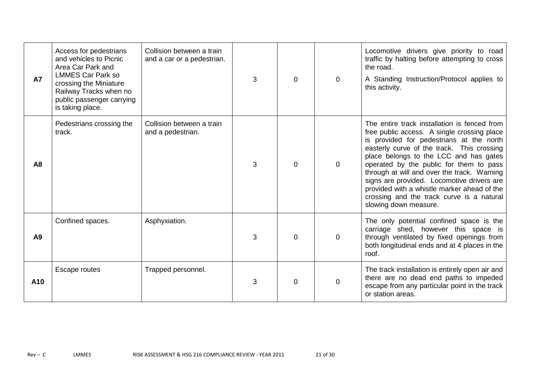| <b>A7</b>      | Access for pedestrians<br>and vehicles to Picnic<br>Area Car Park and<br><b>LMMES Car Park so</b><br>crossing the Miniature<br>Railway Tracks when no<br>public passenger carrying<br>is taking place. | Collision between a train<br>and a car or a pedestrian. | 3 | 0 | $\Omega$       | Locomotive drivers give priority to road<br>traffic by halting before attempting to cross<br>the road.<br>A Standing Instruction/Protocol applies to<br>this activity.                                                                                                                                                                                                                                                                                                                       |
|----------------|--------------------------------------------------------------------------------------------------------------------------------------------------------------------------------------------------------|---------------------------------------------------------|---|---|----------------|----------------------------------------------------------------------------------------------------------------------------------------------------------------------------------------------------------------------------------------------------------------------------------------------------------------------------------------------------------------------------------------------------------------------------------------------------------------------------------------------|
| A <sub>8</sub> | Pedestrians crossing the<br>track.                                                                                                                                                                     | Collision between a train<br>and a pedestrian.          | 3 | 0 | $\overline{0}$ | The entire track installation is fenced from<br>free public access. A single crossing place<br>is provided for pedestrians at the north<br>easterly curve of the track. This crossing<br>place belongs to the LCC and has gates<br>operated by the public for them to pass<br>through at will and over the track. Warning<br>signs are provided. Locomotive drivers are<br>provided with a whistle marker ahead of the<br>crossing and the track curve is a natural<br>slowing down measure. |
| A <sub>9</sub> | Confined spaces.                                                                                                                                                                                       | Asphyxiation.                                           | 3 | 0 | $\mathbf 0$    | The only potential confined space is the<br>carriage shed, however this space is<br>through ventilated by fixed openings from<br>both longitudinal ends and at 4 places in the<br>roof.                                                                                                                                                                                                                                                                                                      |
| A10            | Escape routes                                                                                                                                                                                          | Trapped personnel.                                      | 3 | O | $\mathbf 0$    | The track installation is entirely open air and<br>there are no dead end paths to impeded<br>escape from any particular point in the track<br>or station areas.                                                                                                                                                                                                                                                                                                                              |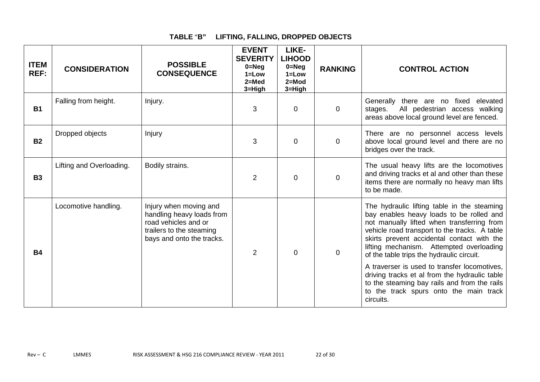### **TABLE** "**B" LIFTING, FALLING, DROPPED OBJECTS**

| <b>ITEM</b><br>REF: | <b>CONSIDERATION</b>     | <b>POSSIBLE</b><br><b>CONSEQUENCE</b>                                                                                                | <b>EVENT</b><br><b>SEVERITY</b><br>$0 = Neg$<br>$1 = Low$<br>$2=Med$<br>3=High | LIKE-<br><b>LIHOOD</b><br>$0 = Neg$<br>$1 = Low$<br>$2 = Mod$<br>3=High | <b>RANKING</b> | <b>CONTROL ACTION</b>                                                                                                                                                                                                                                                                                                         |
|---------------------|--------------------------|--------------------------------------------------------------------------------------------------------------------------------------|--------------------------------------------------------------------------------|-------------------------------------------------------------------------|----------------|-------------------------------------------------------------------------------------------------------------------------------------------------------------------------------------------------------------------------------------------------------------------------------------------------------------------------------|
| <b>B1</b>           | Falling from height.     | Injury.                                                                                                                              | 3                                                                              | 0                                                                       | $\overline{0}$ | Generally there are no fixed elevated<br>All pedestrian access walking<br>stages.<br>areas above local ground level are fenced.                                                                                                                                                                                               |
| <b>B2</b>           | Dropped objects          | Injury                                                                                                                               | 3                                                                              | $\overline{0}$                                                          | $\mathbf 0$    | There are no personnel access levels<br>above local ground level and there are no<br>bridges over the track.                                                                                                                                                                                                                  |
| <b>B3</b>           | Lifting and Overloading. | Bodily strains.                                                                                                                      | 2                                                                              | 0                                                                       | $\mathbf 0$    | The usual heavy lifts are the locomotives<br>and driving tracks et al and other than these<br>items there are normally no heavy man lifts<br>to be made.                                                                                                                                                                      |
| <b>B4</b>           | Locomotive handling.     | Injury when moving and<br>handling heavy loads from<br>road vehicles and or<br>trailers to the steaming<br>bays and onto the tracks. | 2                                                                              | $\Omega$                                                                | $\mathbf 0$    | The hydraulic lifting table in the steaming<br>bay enables heavy loads to be rolled and<br>not manually lifted when transferring from<br>vehicle road transport to the tracks. A table<br>skirts prevent accidental contact with the<br>lifting mechanism. Attempted overloading<br>of the table trips the hydraulic circuit. |
|                     |                          |                                                                                                                                      |                                                                                |                                                                         |                | A traverser is used to transfer locomotives,<br>driving tracks et al from the hydraulic table<br>to the steaming bay rails and from the rails<br>to the track spurs onto the main track<br>circuits.                                                                                                                          |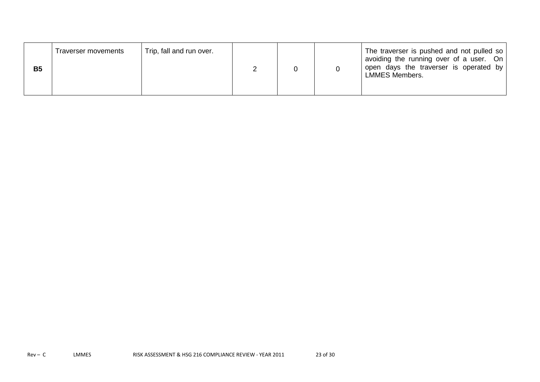| <b>B5</b> | Traverser movements | Trip, fall and run over. |  |  |  | The traverser is pushed and not pulled so<br>avoiding the running over of a user. On<br>open days the traverser is operated by<br>LMMES Members. |
|-----------|---------------------|--------------------------|--|--|--|--------------------------------------------------------------------------------------------------------------------------------------------------|
|-----------|---------------------|--------------------------|--|--|--|--------------------------------------------------------------------------------------------------------------------------------------------------|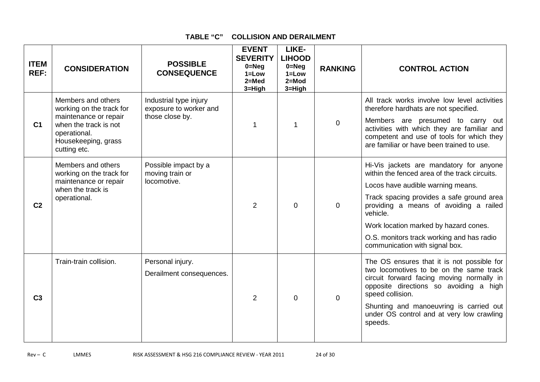### **TABLE "C" COLLISION AND DERAILMENT**

| <b>ITEM</b><br>REF: | <b>CONSIDERATION</b>                                                                                                                                    | <b>POSSIBLE</b><br><b>CONSEQUENCE</b>                               | <b>EVENT</b><br><b>SEVERITY</b><br>$0 = Neg$<br>$1 = Low$<br>$2=Med$<br>3=High | LIKE-<br><b>LIHOOD</b><br>$0 = Neg$<br>$1 = Low$<br>$2 = Mod$<br>3=High | <b>RANKING</b> | <b>CONTROL ACTION</b>                                                                                                                                                                                                                                                                                                                                    |
|---------------------|---------------------------------------------------------------------------------------------------------------------------------------------------------|---------------------------------------------------------------------|--------------------------------------------------------------------------------|-------------------------------------------------------------------------|----------------|----------------------------------------------------------------------------------------------------------------------------------------------------------------------------------------------------------------------------------------------------------------------------------------------------------------------------------------------------------|
| C <sub>1</sub>      | Members and others<br>working on the track for<br>maintenance or repair<br>when the track is not<br>operational.<br>Housekeeping, grass<br>cutting etc. | Industrial type injury<br>exposure to worker and<br>those close by. |                                                                                | 1                                                                       | 0              | All track works involve low level activities<br>therefore hardhats are not specified.<br>Members are presumed to carry out<br>activities with which they are familiar and<br>competent and use of tools for which they<br>are familiar or have been trained to use.                                                                                      |
| C <sub>2</sub>      | Members and others<br>working on the track for<br>maintenance or repair<br>when the track is<br>operational.                                            | Possible impact by a<br>moving train or<br>locomotive.              | $\overline{2}$                                                                 | 0                                                                       | $\Omega$       | Hi-Vis jackets are mandatory for anyone<br>within the fenced area of the track circuits.<br>Locos have audible warning means.<br>Track spacing provides a safe ground area<br>providing a means of avoiding a railed<br>vehicle.<br>Work location marked by hazard cones.<br>O.S. monitors track working and has radio<br>communication with signal box. |
| C <sub>3</sub>      | Train-train collision.                                                                                                                                  | Personal injury.<br>Derailment consequences.                        | $\overline{2}$                                                                 | 0                                                                       | 0              | The OS ensures that it is not possible for<br>two locomotives to be on the same track<br>circuit forward facing moving normally in<br>opposite directions so avoiding a high<br>speed collision.<br>Shunting and manoeuvring is carried out<br>under OS control and at very low crawling<br>speeds.                                                      |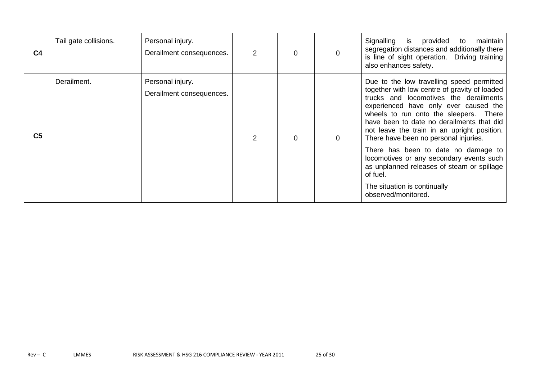| C <sub>4</sub> | Tail gate collisions. | Personal injury.<br>Derailment consequences. | $\overline{2}$ | 0 | $\mathbf 0$ | Signalling<br>provided<br>is<br>maintain<br>to<br>segregation distances and additionally there<br>is line of sight operation. Driving training<br>also enhances safety.                                                                                                                                                                                      |
|----------------|-----------------------|----------------------------------------------|----------------|---|-------------|--------------------------------------------------------------------------------------------------------------------------------------------------------------------------------------------------------------------------------------------------------------------------------------------------------------------------------------------------------------|
| C <sub>5</sub> | Derailment.           | Personal injury.<br>Derailment consequences. |                | 0 | $\mathbf 0$ | Due to the low travelling speed permitted<br>together with low centre of gravity of loaded<br>trucks and locomotives the derailments<br>experienced have only ever caused the<br>wheels to run onto the sleepers. There<br>have been to date no derailments that did<br>not leave the train in an upright position.<br>There have been no personal injuries. |
|                |                       |                                              |                |   |             | There has been to date no damage to<br>locomotives or any secondary events such<br>as unplanned releases of steam or spillage<br>of fuel.<br>The situation is continually<br>observed/monitored.                                                                                                                                                             |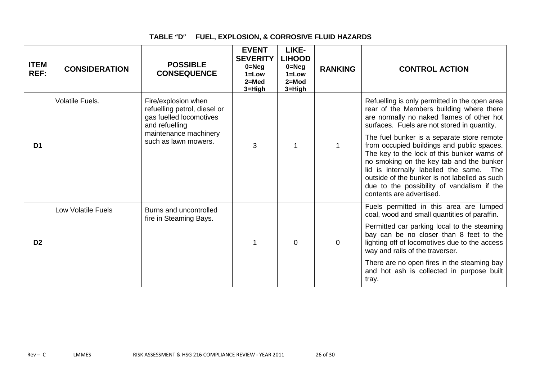### **TABLE "D" FUEL, EXPLOSION, & CORROSIVE FLUID HAZARDS**

| <b>ITEM</b><br>REF: | <b>CONSIDERATION</b>      | <b>POSSIBLE</b><br><b>CONSEQUENCE</b>                                                            | <b>EVENT</b><br><b>SEVERITY</b><br>$0 = Neq$<br>$1 = Low$<br>$2=Med$<br>$3 = High$ | LIKE-<br><b>LIHOOD</b><br>$0 = Neg$<br>$1 = Low$<br>$2 = Mod$<br>3=High | <b>RANKING</b> | <b>CONTROL ACTION</b>                                                                                                                                                                                                                                                                                                                                         |
|---------------------|---------------------------|--------------------------------------------------------------------------------------------------|------------------------------------------------------------------------------------|-------------------------------------------------------------------------|----------------|---------------------------------------------------------------------------------------------------------------------------------------------------------------------------------------------------------------------------------------------------------------------------------------------------------------------------------------------------------------|
|                     | Volatile Fuels.           | Fire/explosion when<br>refuelling petrol, diesel or<br>gas fuelled locomotives<br>and refuelling |                                                                                    |                                                                         |                | Refuelling is only permitted in the open area<br>rear of the Members building where there<br>are normally no naked flames of other hot<br>surfaces. Fuels are not stored in quantity.                                                                                                                                                                         |
| D <sub>1</sub>      |                           | maintenance machinery<br>such as lawn mowers.                                                    | 3                                                                                  |                                                                         |                | The fuel bunker is a separate store remote<br>from occupied buildings and public spaces.<br>The key to the lock of this bunker warns of<br>no smoking on the key tab and the bunker<br>lid is internally labelled the same.<br>The<br>outside of the bunker is not labelled as such<br>due to the possibility of vandalism if the<br>contents are advertised. |
|                     | <b>Low Volatile Fuels</b> | Burns and uncontrolled<br>fire in Steaming Bays.                                                 |                                                                                    |                                                                         |                | Fuels permitted in this area are lumped<br>coal, wood and small quantities of paraffin.                                                                                                                                                                                                                                                                       |
| D <sub>2</sub>      |                           |                                                                                                  |                                                                                    | 0                                                                       | $\mathbf 0$    | Permitted car parking local to the steaming<br>bay can be no closer than 8 feet to the<br>lighting off of locomotives due to the access<br>way and rails of the traverser.                                                                                                                                                                                    |
|                     |                           |                                                                                                  |                                                                                    |                                                                         |                | There are no open fires in the steaming bay<br>and hot ash is collected in purpose built<br>tray.                                                                                                                                                                                                                                                             |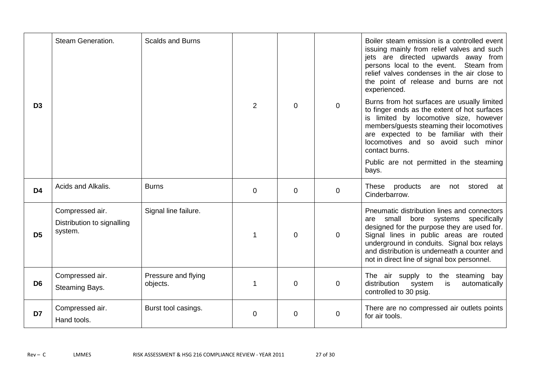| D <sub>3</sub> | Steam Generation.                                        | <b>Scalds and Burns</b>         | 2           | $\Omega$ | $\overline{0}$ | Boiler steam emission is a controlled event<br>issuing mainly from relief valves and such<br>jets are directed upwards away from<br>persons local to the event.<br>Steam from<br>relief valves condenses in the air close to<br>the point of release and burns are not<br>experienced.<br>Burns from hot surfaces are usually limited<br>to finger ends as the extent of hot surfaces<br>is limited by locomotive size, however<br>members/guests steaming their locomotives<br>are expected to be familiar with their<br>locomotives and so avoid such minor<br>contact burns. |
|----------------|----------------------------------------------------------|---------------------------------|-------------|----------|----------------|---------------------------------------------------------------------------------------------------------------------------------------------------------------------------------------------------------------------------------------------------------------------------------------------------------------------------------------------------------------------------------------------------------------------------------------------------------------------------------------------------------------------------------------------------------------------------------|
|                |                                                          |                                 |             |          |                | Public are not permitted in the steaming<br>bays.                                                                                                                                                                                                                                                                                                                                                                                                                                                                                                                               |
| D <sub>4</sub> | Acids and Alkalis.                                       | <b>Burns</b>                    | $\mathbf 0$ | $\Omega$ | $\mathbf 0$    | products<br>These<br>stored<br>are<br>not<br>at<br>Cinderbarrow.                                                                                                                                                                                                                                                                                                                                                                                                                                                                                                                |
| D <sub>5</sub> | Compressed air.<br>Distribution to signalling<br>system. | Signal line failure.            |             | $\Omega$ | $\mathbf 0$    | Pneumatic distribution lines and connectors<br>bore systems<br>small<br>specifically<br>are<br>designed for the purpose they are used for.<br>Signal lines in public areas are routed<br>underground in conduits. Signal box relays<br>and distribution is underneath a counter and<br>not in direct line of signal box personnel.                                                                                                                                                                                                                                              |
| D <sub>6</sub> | Compressed air.<br>Steaming Bays.                        | Pressure and flying<br>objects. | $\mathbf 1$ | $\Omega$ | $\mathbf 0$    | The air supply to the steaming bay<br>distribution<br>system<br>is<br>automatically<br>controlled to 30 psig.                                                                                                                                                                                                                                                                                                                                                                                                                                                                   |
| D7             | Compressed air.<br>Hand tools.                           | Burst tool casings.             | $\mathbf 0$ | $\Omega$ | $\overline{0}$ | There are no compressed air outlets points<br>for air tools.                                                                                                                                                                                                                                                                                                                                                                                                                                                                                                                    |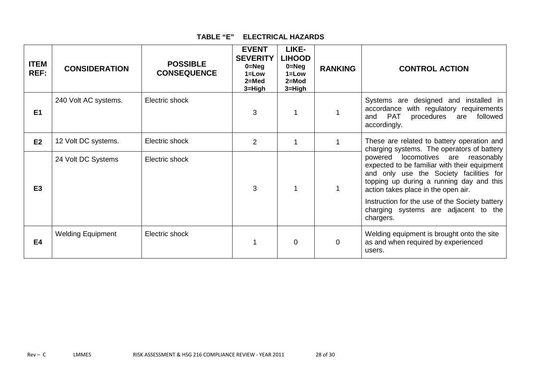| TABLE "E" | <b>ELECTRICAL HAZARDS</b> |  |
|-----------|---------------------------|--|
|-----------|---------------------------|--|

| <b>ITEM</b><br>REF: | <b>CONSIDERATION</b>     | <b>POSSIBLE</b><br><b>CONSEQUENCE</b> | <b>EVENT</b><br><b>SEVERITY</b><br>$0 = Neg$<br>$1 = Low$<br>$2=$ Med<br>3=High | LIKE-<br><b>LIHOOD</b><br>$0 = Neg$<br>$1 = Low$<br>$2=Mod$<br>3=High | <b>RANKING</b> | <b>CONTROL ACTION</b>                                                                                                                                                                                                                                                                                                                                          |
|---------------------|--------------------------|---------------------------------------|---------------------------------------------------------------------------------|-----------------------------------------------------------------------|----------------|----------------------------------------------------------------------------------------------------------------------------------------------------------------------------------------------------------------------------------------------------------------------------------------------------------------------------------------------------------------|
| E <sub>1</sub>      | 240 Volt AC systems.     | Electric shock                        | 3                                                                               |                                                                       |                | Systems are designed and installed in<br>accordance with regulatory requirements<br><b>PAT</b><br>followed<br>procedures<br>are<br>and<br>accordingly.                                                                                                                                                                                                         |
| E2                  | 12 Volt DC systems.      | Electric shock                        | 2                                                                               |                                                                       |                | These are related to battery operation and<br>charging systems. The operators of battery<br>powered locomotives are reasonably<br>expected to be familiar with their equipment<br>and only use the Society facilities for<br>topping up during a running day and this<br>action takes place in the open air.<br>Instruction for the use of the Society battery |
| E <sub>3</sub>      | 24 Volt DC Systems       | Electric shock                        | 3                                                                               |                                                                       |                |                                                                                                                                                                                                                                                                                                                                                                |
|                     |                          |                                       |                                                                                 |                                                                       |                | charging systems are adjacent to the<br>chargers.                                                                                                                                                                                                                                                                                                              |
| <b>E4</b>           | <b>Welding Equipment</b> | Electric shock                        |                                                                                 | 0                                                                     | 0              | Welding equipment is brought onto the site<br>as and when required by experienced<br>users.                                                                                                                                                                                                                                                                    |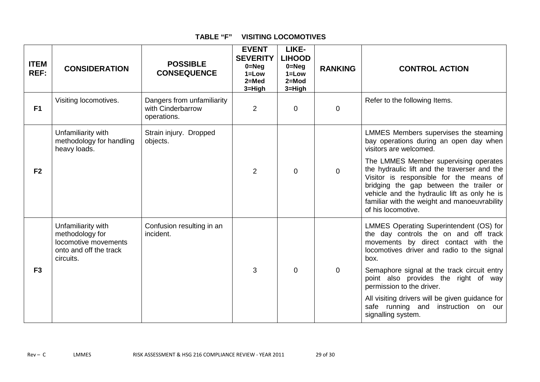| <b>ITEM</b><br>REF: | <b>CONSIDERATION</b>                                                                                 | <b>POSSIBLE</b><br><b>CONSEQUENCE</b>                          | <b>EVENT</b><br><b>SEVERITY</b><br>$0 = Neg$<br>$1 = Low$<br>$2=Med$<br>3=High | LIKE-<br><b>LIHOOD</b><br>$0 = Neg$<br>$1 = Low$<br>$2 = Mod$<br>3=High | <b>RANKING</b> | <b>CONTROL ACTION</b>                                                                                                                                                                                                                                                                             |
|---------------------|------------------------------------------------------------------------------------------------------|----------------------------------------------------------------|--------------------------------------------------------------------------------|-------------------------------------------------------------------------|----------------|---------------------------------------------------------------------------------------------------------------------------------------------------------------------------------------------------------------------------------------------------------------------------------------------------|
| F <sub>1</sub>      | Visiting locomotives.                                                                                | Dangers from unfamiliarity<br>with Cinderbarrow<br>operations. | 2                                                                              | 0                                                                       | $\mathbf 0$    | Refer to the following Items.                                                                                                                                                                                                                                                                     |
| F <sub>2</sub>      | Unfamiliarity with<br>methodology for handling<br>heavy loads.                                       | Strain injury. Dropped<br>objects.                             |                                                                                |                                                                         |                | LMMES Members supervises the steaming<br>bay operations during an open day when<br>visitors are welcomed.                                                                                                                                                                                         |
|                     |                                                                                                      |                                                                | 2                                                                              | $\Omega$                                                                | $\mathbf 0$    | The LMMES Member supervising operates<br>the hydraulic lift and the traverser and the<br>Visitor is responsible for the means of<br>bridging the gap between the trailer or<br>vehicle and the hydraulic lift as only he is<br>familiar with the weight and manoeuvrability<br>of his locomotive. |
|                     | Unfamiliarity with<br>methodology for<br>locomotive movements<br>onto and off the track<br>circuits. | Confusion resulting in an<br>incident.                         |                                                                                |                                                                         |                | LMMES Operating Superintendent (OS) for<br>the day controls the on and off track<br>movements by direct contact with the<br>locomotives driver and radio to the signal<br>box.                                                                                                                    |
| F <sub>3</sub>      |                                                                                                      |                                                                | 3                                                                              | $\Omega$                                                                | $\mathbf 0$    | Semaphore signal at the track circuit entry<br>point also provides the right of way<br>permission to the driver.                                                                                                                                                                                  |
|                     |                                                                                                      |                                                                |                                                                                |                                                                         |                | All visiting drivers will be given guidance for<br>safe running and instruction on our<br>signalling system.                                                                                                                                                                                      |

### **TABLE "F" VISITING LOCOMOTIVES**